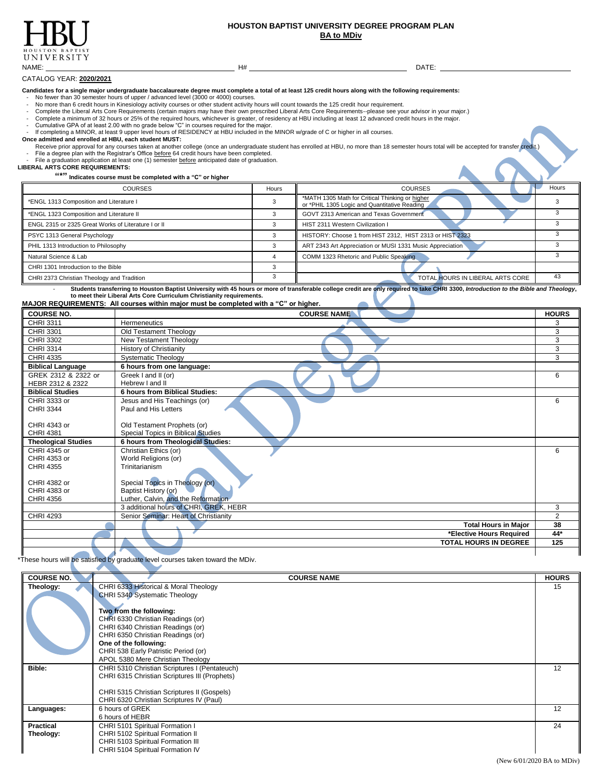

## **HOUSTON BAPTIST UNIVERSITY DEGREE PROGRAM PLAN BA to MDiv**

CATALOG YEAR: **2020/2021**

**Candidates for a single major undergraduate baccalaureate degree must complete a total of at least 125 credit hours along with the following requirements:**

No fewer than 30 semester hours of upper / advanced level (3000 or 4000) courses.

- 
- No more than 6 credit hours in Kinesiology activity courses or other student activity hours will count towards the 125 credit hour requirement.<br>- Complete the Liberal Arts Core Requirements (certain majors may have
- 
- 
- Complete a minimum of 32 hours or 25% of the required hours, whichever is greater, of residency at HBU including at least 12 advanced credit hours in the major.<br>- Cumulative GPA of at least 2.00 with no grade below "C" i

**Once admitted and enrolled at HBU, each student MUST:**

**CRECEIVE PRIOR TO A THE CONTROLLY CONTROLLY THE COLLEGE CONCRETED FOR A SET AND THE COLLEGE TO A SET ANOTHER SET AND THE COLLEGE OF A SET AND THE COLLEGE OF A SET AND THE COLLEGE OF A SET ANOTHER CREDIT.)** File a degree plan with the Registrar's Office before 64 credit hours have been completed.

- File a graduation application at least one (1) semester before anticipated date of graduation. **LIBERAL ARTS CORE REQUIREMENTS:**

| """ Indicates course must be completed with a "C" or higher |       |                                                                                                 |       |
|-------------------------------------------------------------|-------|-------------------------------------------------------------------------------------------------|-------|
| <b>COURSES</b>                                              | Hours | <b>COURSES</b>                                                                                  | Hours |
| *ENGL 1313 Composition and Literature I                     |       | *MATH 1305 Math for Critical Thinking or higher<br>or *PHIL 1305 Logic and Quantitative Reading |       |
| *ENGL 1323 Composition and Literature II                    |       | GOVT 2313 American and Texas Government                                                         |       |
| ENGL 2315 or 2325 Great Works of Literature I or II         |       | HIST 2311 Western Civilization I                                                                |       |
| PSYC 1313 General Psychology                                |       | HISTORY: Choose 1 from HIST 2312. HIST 2313 or HIST 2323                                        |       |
| PHIL 1313 Introduction to Philosophy                        |       | ART 2343 Art Appreciation or MUSI 1331 Music Appreciation                                       |       |
| Natural Science & Lab                                       |       | COMM 1323 Rhetoric and Public Speaking                                                          |       |
| CHRI 1301 Introduction to the Bible                         |       |                                                                                                 |       |
| CHRI 2373 Christian Theology and Tradition                  |       | TOTAL HOURS IN LIBERAL ARTS CORE                                                                | 43    |

- **Students transferring to Houston Baptist University with 45 hours or more of transferable college credit are only required to take CHRI 3300,** *Introduction to the Bible and Theology***, to meet their Liberal Arts Core Curriculum Christianity requirements.**

|                    | <b>MAJOR REQUIREMENTS:</b> All courses within major must be completed with a "C" or higher. |        |
|--------------------|---------------------------------------------------------------------------------------------|--------|
| $0.011000 \pm 0.0$ |                                                                                             | $\sim$ |

| <b>COURSE NO.</b>          | <b>COURSE NAME</b>                     | <b>HOURS</b> |
|----------------------------|----------------------------------------|--------------|
| CHRI 3311                  | Hermeneutics                           | 3            |
| CHRI 3301                  | Old Testament Theology                 | 3            |
| CHRI 3302                  | New Testament Theology                 | 3            |
| CHRI 3314                  | <b>History of Christianity</b>         | 3            |
| CHRI 4335                  | <b>Systematic Theology</b>             | 3            |
| <b>Biblical Language</b>   | 6 hours from one language:             |              |
| GREK 2312 & 2322 or        | Greek I and II (or)                    | 6            |
| HEBR 2312 & 2322           | Hebrew I and II                        |              |
| <b>Biblical Studies</b>    | 6 hours from Biblical Studies:         |              |
| CHRI 3333 or               | Jesus and His Teachings (or)           | 6            |
| <b>CHRI 3344</b>           | Paul and His Letters                   |              |
|                            |                                        |              |
| CHRI 4343 or               | Old Testament Prophets (or)            |              |
| <b>CHRI 4381</b>           | Special Topics in Biblical Studies     |              |
| <b>Theological Studies</b> | 6 hours from Theological Studies:      |              |
| CHRI 4345 or               | Christian Ethics (or)                  | 6            |
| CHRI 4353 or               | World Religions (or)                   |              |
| <b>CHRI 4355</b>           | Trinitarianism                         |              |
|                            |                                        |              |
| CHRI 4382 or               | Special Topics in Theology (or)        |              |
| CHRI 4383 or               | Baptist History (or)                   |              |
| <b>CHRI 4356</b>           | Luther, Calvin, and the Reformation    |              |
|                            | 3 additional hours of CHRI, GREK, HEBR | 3            |
| <b>CHRI 4293</b>           | Senior Seminar: Heart of Christianity  | 2            |
|                            | <b>Total Hours in Major</b>            | 38           |
|                            | *Elective Hours Required               | 44*          |
|                            | <b>TOTAL HOURS IN DEGREE</b>           | 125          |
|                            |                                        |              |

\*These hours will be satisfied by graduate level courses taken toward the MDiv.

| <b>COURSE NO.</b> | <b>COURSE NAME</b>                            | <b>HOURS</b> |
|-------------------|-----------------------------------------------|--------------|
| Theology:         | CHRI 6333 Historical & Moral Theology         | 15           |
|                   | CHRI 5340 Systematic Theology                 |              |
|                   |                                               |              |
|                   | Two from the following:                       |              |
|                   | CHRI 6330 Christian Readings (or)             |              |
|                   | CHRI 6340 Christian Readings (or)             |              |
|                   | CHRI 6350 Christian Readings (or)             |              |
|                   | One of the following:                         |              |
|                   | CHRI 538 Early Patristic Period (or)          |              |
|                   | APOL 5380 Mere Christian Theology             |              |
| <b>Bible:</b>     | CHRI 5310 Christian Scriptures I (Pentateuch) | 12           |
|                   | CHRI 6315 Christian Scriptures III (Prophets) |              |
|                   |                                               |              |
|                   | CHRI 5315 Christian Scriptures II (Gospels)   |              |
|                   | CHRI 6320 Christian Scriptures IV (Paul)      |              |
| Languages:        | 6 hours of GREK                               | 12           |
|                   | 6 hours of HEBR                               |              |
| <b>Practical</b>  | CHRI 5101 Spiritual Formation I               | 24           |
| Theology:         | CHRI 5102 Spiritual Formation II              |              |
|                   | CHRI 5103 Spiritual Formation III             |              |
|                   | CHRI 5104 Spiritual Formation IV              |              |